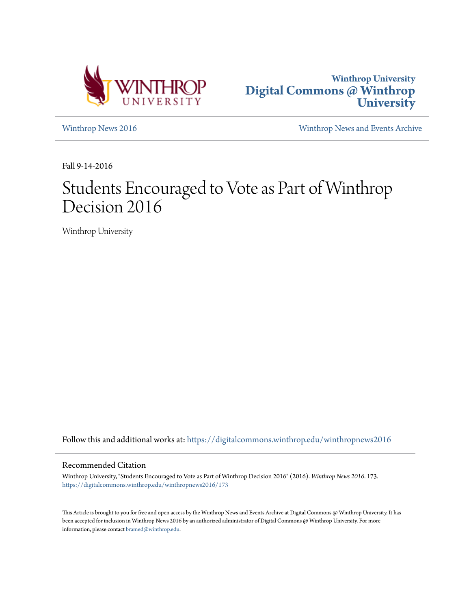



[Winthrop News 2016](https://digitalcommons.winthrop.edu/winthropnews2016?utm_source=digitalcommons.winthrop.edu%2Fwinthropnews2016%2F173&utm_medium=PDF&utm_campaign=PDFCoverPages) [Winthrop News and Events Archive](https://digitalcommons.winthrop.edu/winthropnewsarchives?utm_source=digitalcommons.winthrop.edu%2Fwinthropnews2016%2F173&utm_medium=PDF&utm_campaign=PDFCoverPages)

Fall 9-14-2016

# Students Encouraged to Vote as Part of Winthrop Decision 2016

Winthrop University

Follow this and additional works at: [https://digitalcommons.winthrop.edu/winthropnews2016](https://digitalcommons.winthrop.edu/winthropnews2016?utm_source=digitalcommons.winthrop.edu%2Fwinthropnews2016%2F173&utm_medium=PDF&utm_campaign=PDFCoverPages)

#### Recommended Citation

Winthrop University, "Students Encouraged to Vote as Part of Winthrop Decision 2016" (2016). *Winthrop News 2016*. 173. [https://digitalcommons.winthrop.edu/winthropnews2016/173](https://digitalcommons.winthrop.edu/winthropnews2016/173?utm_source=digitalcommons.winthrop.edu%2Fwinthropnews2016%2F173&utm_medium=PDF&utm_campaign=PDFCoverPages)

This Article is brought to you for free and open access by the Winthrop News and Events Archive at Digital Commons @ Winthrop University. It has been accepted for inclusion in Winthrop News 2016 by an authorized administrator of Digital Commons @ Winthrop University. For more information, please contact [bramed@winthrop.edu](mailto:bramed@winthrop.edu).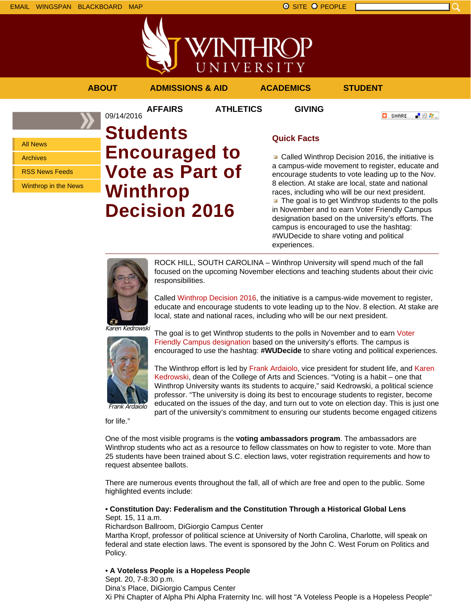

VINTHRC UNIVERSITY **ABOUT ADMISSIONS & AID ACADEMICS STUDENT**

**AFFAIRS ATHLETICS GIVING**

**O** SHARE - 89 年 -

All News

Archives

RSS News Feeds

Winthrop in the News

# 09/14/2016 **Students Encouraged to Vote as Part of Winthrop Decision 2016**

## **Quick Facts**

Called Winthrop Decision 2016, the initiative is a campus-wide movement to register, educate and encourage students to vote leading up to the Nov. 8 election. At stake are local, state and national races, including who will be our next president.  $\blacksquare$  The goal is to get Winthrop students to the polls in November and to earn Voter Friendly Campus designation based on the university's efforts. The campus is encouraged to use the hashtag: #WUDecide to share voting and political experiences.



ROCK HILL, SOUTH CAROLINA – Winthrop University will spend much of the fall focused on the upcoming November elections and teaching students about their civic responsibilities.

Called Winthrop Decision 2016, the initiative is a campus-wide movement to register, educate and encourage students to vote leading up to the Nov. 8 election. At stake are local, state and national races, including who will be our next president.

Karen Kedrowski



The goal is to get Winthrop students to the polls in November and to earn Voter Friendly Campus designation based on the university's efforts. The campus is encouraged to use the hashtag: **#WUDecide** to share voting and political experiences.

The Winthrop effort is led by Frank Ardaiolo, vice president for student life, and Karen Kedrowski, dean of the College of Arts and Sciences. "Voting is a habit – one that Winthrop University wants its students to acquire," said Kedrowski, a political science professor. "The university is doing its best to encourage students to register, become educated on the issues of the day, and turn out to vote on election day. This is just one part of the university's commitment to ensuring our students become engaged citizens

for life."

One of the most visible programs is the **voting ambassadors program**. The ambassadors are Winthrop students who act as a resource to fellow classmates on how to register to vote. More than 25 students have been trained about S.C. election laws, voter registration requirements and how to request absentee ballots.

There are numerous events throughout the fall, all of which are free and open to the public. Some highlighted events include:

### • **Constitution Day: Federalism and the Constitution Through a Historical Global Lens** Sept. 15, 11 a.m.

Richardson Ballroom, DiGiorgio Campus Center

Martha Kropf, professor of political science at University of North Carolina, Charlotte, will speak on federal and state election laws. The event is sponsored by the John C. West Forum on Politics and Policy.

## • **A Voteless People is a Hopeless People**

Sept. 20, 7-8:30 p.m. Dina's Place, DiGiorgio Campus Center Xi Phi Chapter of Alpha Phi Alpha Fraternity Inc. will host "A Voteless People is a Hopeless People"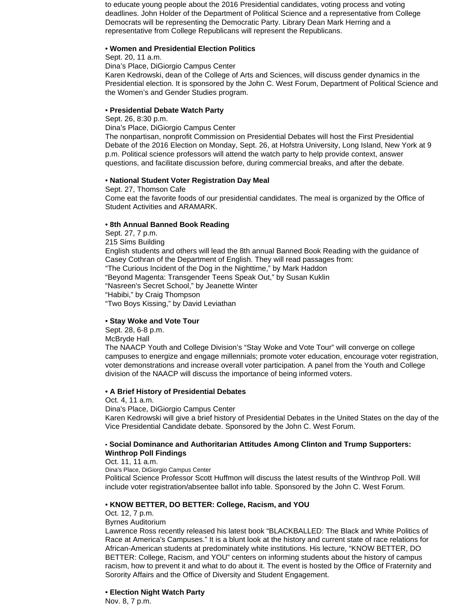to educate young people about the 2016 Presidential candidates, voting process and voting deadlines. John Holder of the Department of Political Science and a representative from College Democrats will be representing the Democratic Party. Library Dean Mark Herring and a representative from College Republicans will represent the Republicans.

#### • **Women and Presidential Election Politics**

Sept. 20, 11 a.m.

Dina's Place, DiGiorgio Campus Center

Karen Kedrowski, dean of the College of Arts and Sciences, will discuss gender dynamics in the Presidential election. It is sponsored by the John C. West Forum, Department of Political Science and the Women's and Gender Studies program.

### • **Presidential Debate Watch Party**

Sept. 26, 8:30 p.m.

Dina's Place, DiGiorgio Campus Center

The nonpartisan, nonprofit Commission on Presidential Debates will host the First Presidential Debate of the 2016 Election on Monday, Sept. 26, at Hofstra University, Long Island, New York at 9 p.m. Political science professors will attend the watch party to help provide context, answer questions, and facilitate discussion before, during commercial breaks, and after the debate.

#### • **National Student Voter Registration Day Meal**

Sept. 27, Thomson Cafe Come eat the favorite foods of our presidential candidates. The meal is organized by the Office of Student Activities and ARAMARK.

#### • **8th Annual Banned Book Reading**

Sept. 27, 7 p.m. 215 Sims Building English students and others will lead the 8th annual Banned Book Reading with the guidance of Casey Cothran of the Department of English. They will read passages from: "The Curious Incident of the Dog in the Nighttime," by Mark Haddon "Beyond Magenta: Transgender Teens Speak Out," by Susan Kuklin "Nasreen's Secret School," by Jeanette Winter "Habibi," by Craig Thompson "Two Boys Kissing," by David Leviathan

#### • **Stay Woke and Vote Tour**

Sept. 28, 6-8 p.m. McBryde Hall

The NAACP Youth and College Division's "Stay Woke and Vote Tour" will converge on college campuses to energize and engage millennials; promote voter education, encourage voter registration, voter demonstrations and increase overall voter participation. A panel from the Youth and College division of the NAACP will discuss the importance of being informed voters.

#### • **A Brief History of Presidential Debates**

Oct. 4, 11 a.m.

Dina's Place, DiGiorgio Campus Center

Karen Kedrowski will give a brief history of Presidential Debates in the United States on the day of the Vice Presidential Candidate debate. Sponsored by the John C. West Forum.

#### • **Social Dominance and Authoritarian Attitudes Among Clinton and Trump Supporters: Winthrop Poll Findings**

Oct. 11, 11 a.m.

Dina's Place, DiGiorgio Campus Center

Political Science Professor Scott Huffmon will discuss the latest results of the Winthrop Poll. Will include voter registration/absentee ballot info table. Sponsored by the John C. West Forum.

#### • **KNOW BETTER, DO BETTER: College, Racism, and YOU**

Oct. 12, 7 p.m.

Byrnes Auditorium

Lawrence Ross recently released his latest book "BLACKBALLED: The Black and White Politics of Race at America's Campuses." It is a blunt look at the history and current state of race relations for African-American students at predominately white institutions. His lecture, "KNOW BETTER, DO BETTER: College, Racism, and YOU" centers on informing students about the history of campus racism, how to prevent it and what to do about it. The event is hosted by the Office of Fraternity and Sorority Affairs and the Office of Diversity and Student Engagement.

#### • **Election Night Watch Party**

Nov. 8, 7 p.m.